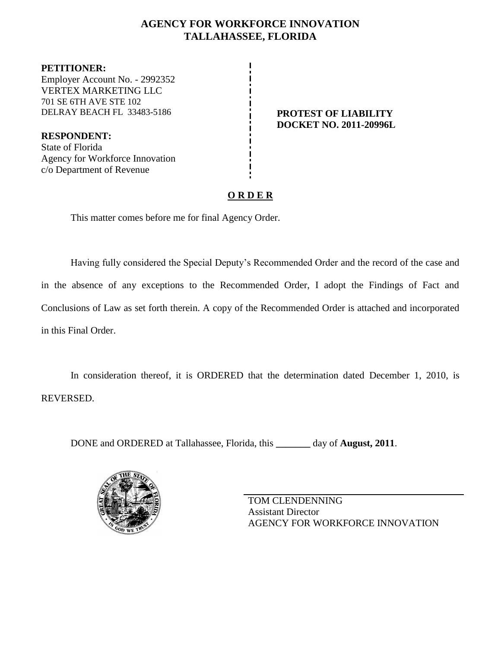# **AGENCY FOR WORKFORCE INNOVATION TALLAHASSEE, FLORIDA**

**PETITIONER:** Employer Account No. - 2992352 VERTEX MARKETING LLC 701 SE 6TH AVE STE 102 DELRAY BEACH FL 33483-5186 **PROTEST OF LIABILITY**

**RESPONDENT:** State of Florida Agency for Workforce Innovation c/o Department of Revenue

# **DOCKET NO. 2011-20996L**

# **O R D E R**

This matter comes before me for final Agency Order.

Having fully considered the Special Deputy's Recommended Order and the record of the case and in the absence of any exceptions to the Recommended Order, I adopt the Findings of Fact and Conclusions of Law as set forth therein. A copy of the Recommended Order is attached and incorporated in this Final Order.

In consideration thereof, it is ORDERED that the determination dated December 1, 2010, is REVERSED.

DONE and ORDERED at Tallahassee, Florida, this **\_\_\_\_\_\_\_** day of **August, 2011**.



TOM CLENDENNING Assistant Director AGENCY FOR WORKFORCE INNOVATION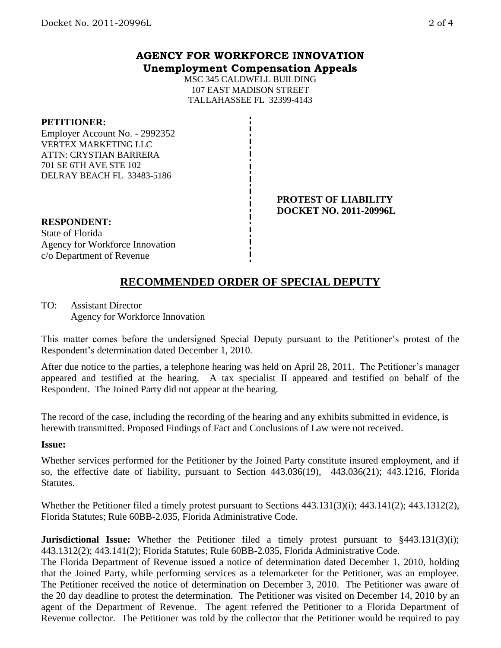# **AGENCY FOR WORKFORCE INNOVATION Unemployment Compensation Appeals**

MSC 345 CALDWELL BUILDING 107 EAST MADISON STREET TALLAHASSEE FL 32399-4143

#### **PETITIONER:**

Employer Account No. - 2992352 VERTEX MARKETING LLC ATTN: CRYSTIAN BARRERA 701 SE 6TH AVE STE 102 DELRAY BEACH FL 33483-5186

#### **PROTEST OF LIABILITY DOCKET NO. 2011-20996L**

**RESPONDENT:** State of Florida Agency for Workforce Innovation c/o Department of Revenue

# **RECOMMENDED ORDER OF SPECIAL DEPUTY**

TO: Assistant Director Agency for Workforce Innovation

This matter comes before the undersigned Special Deputy pursuant to the Petitioner's protest of the Respondent's determination dated December 1, 2010.

After due notice to the parties, a telephone hearing was held on April 28, 2011. The Petitioner's manager appeared and testified at the hearing. A tax specialist II appeared and testified on behalf of the Respondent. The Joined Party did not appear at the hearing.

The record of the case, including the recording of the hearing and any exhibits submitted in evidence, is herewith transmitted. Proposed Findings of Fact and Conclusions of Law were not received.

#### **Issue:**

Whether services performed for the Petitioner by the Joined Party constitute insured employment, and if so, the effective date of liability, pursuant to Section 443.036(19), 443.036(21); 443.1216, Florida Statutes.

Whether the Petitioner filed a timely protest pursuant to Sections 443.131(3)(i); 443.141(2); 443.1312(2), Florida Statutes; Rule 60BB-2.035, Florida Administrative Code.

**Jurisdictional Issue:** Whether the Petitioner filed a timely protest pursuant to §443.131(3)(i); 443.1312(2); 443.141(2); Florida Statutes; Rule 60BB-2.035, Florida Administrative Code.

The Florida Department of Revenue issued a notice of determination dated December 1, 2010, holding that the Joined Party, while performing services as a telemarketer for the Petitioner, was an employee. The Petitioner received the notice of determination on December 3, 2010. The Petitioner was aware of the 20 day deadline to protest the determination. The Petitioner was visited on December 14, 2010 by an agent of the Department of Revenue. The agent referred the Petitioner to a Florida Department of Revenue collector. The Petitioner was told by the collector that the Petitioner would be required to pay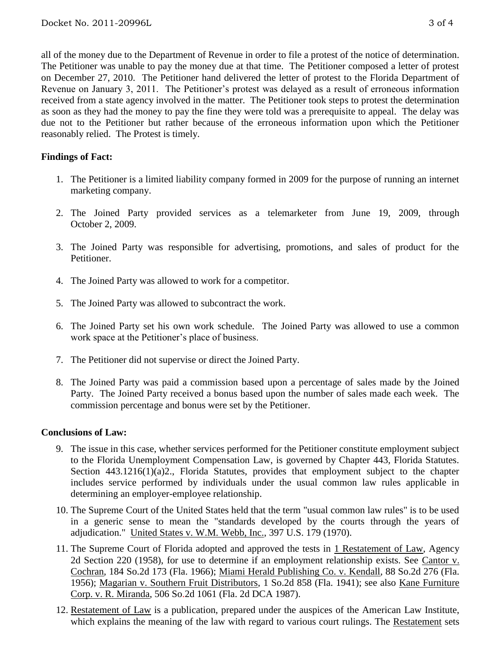all of the money due to the Department of Revenue in order to file a protest of the notice of determination. The Petitioner was unable to pay the money due at that time. The Petitioner composed a letter of protest on December 27, 2010. The Petitioner hand delivered the letter of protest to the Florida Department of Revenue on January 3, 2011. The Petitioner's protest was delayed as a result of erroneous information received from a state agency involved in the matter. The Petitioner took steps to protest the determination as soon as they had the money to pay the fine they were told was a prerequisite to appeal. The delay was due not to the Petitioner but rather because of the erroneous information upon which the Petitioner reasonably relied. The Protest is timely.

## **Findings of Fact:**

- 1. The Petitioner is a limited liability company formed in 2009 for the purpose of running an internet marketing company.
- 2. The Joined Party provided services as a telemarketer from June 19, 2009, through October 2, 2009.
- 3. The Joined Party was responsible for advertising, promotions, and sales of product for the Petitioner.
- 4. The Joined Party was allowed to work for a competitor.
- 5. The Joined Party was allowed to subcontract the work.
- 6. The Joined Party set his own work schedule. The Joined Party was allowed to use a common work space at the Petitioner's place of business.
- 7. The Petitioner did not supervise or direct the Joined Party.
- 8. The Joined Party was paid a commission based upon a percentage of sales made by the Joined Party. The Joined Party received a bonus based upon the number of sales made each week. The commission percentage and bonus were set by the Petitioner.

## **Conclusions of Law:**

- 9. The issue in this case, whether services performed for the Petitioner constitute employment subject to the Florida Unemployment Compensation Law, is governed by Chapter 443, Florida Statutes. Section 443.1216(1)(a)2., Florida Statutes, provides that employment subject to the chapter includes service performed by individuals under the usual common law rules applicable in determining an employer-employee relationship.
- 10. The Supreme Court of the United States held that the term "usual common law rules" is to be used in a generic sense to mean the "standards developed by the courts through the years of adjudication." United States v. W.M. Webb, Inc., 397 U.S. 179 (1970).
- 11. The Supreme Court of Florida adopted and approved the tests in 1 Restatement of Law, Agency 2d Section 220 (1958), for use to determine if an employment relationship exists. See Cantor v. Cochran, 184 So.2d 173 (Fla. 1966); Miami Herald Publishing Co. v. Kendall, 88 So.2d 276 (Fla. 1956); Magarian v. Southern Fruit Distributors, 1 So.2d 858 (Fla. 1941); see also Kane Furniture Corp. v. R. Miranda, 506 So.2d 1061 (Fla. 2d DCA 1987).
- 12. Restatement of Law is a publication, prepared under the auspices of the American Law Institute, which explains the meaning of the law with regard to various court rulings. The Restatement sets